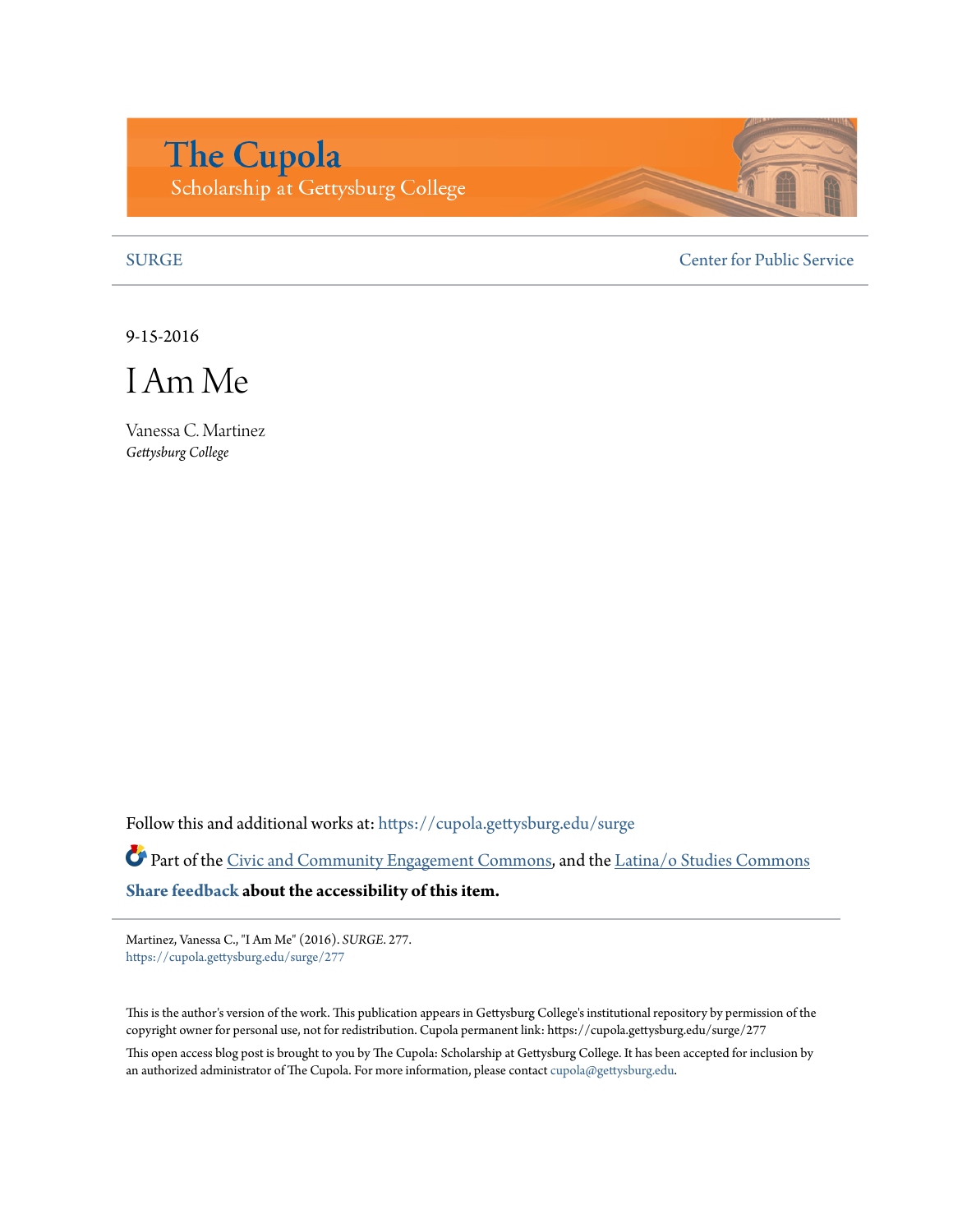## **The Cupola** Scholarship at Gettysburg College

[SURGE](https://cupola.gettysburg.edu/surge?utm_source=cupola.gettysburg.edu%2Fsurge%2F277&utm_medium=PDF&utm_campaign=PDFCoverPages) [Center for Public Service](https://cupola.gettysburg.edu/cps?utm_source=cupola.gettysburg.edu%2Fsurge%2F277&utm_medium=PDF&utm_campaign=PDFCoverPages)

9-15-2016

I Am Me

Vanessa C. Martinez *Gettysburg College*

Follow this and additional works at: [https://cupola.gettysburg.edu/surge](https://cupola.gettysburg.edu/surge?utm_source=cupola.gettysburg.edu%2Fsurge%2F277&utm_medium=PDF&utm_campaign=PDFCoverPages)

Part of the [Civic and Community Engagement Commons,](http://network.bepress.com/hgg/discipline/1028?utm_source=cupola.gettysburg.edu%2Fsurge%2F277&utm_medium=PDF&utm_campaign=PDFCoverPages) and the [Latina/o Studies Commons](http://network.bepress.com/hgg/discipline/1315?utm_source=cupola.gettysburg.edu%2Fsurge%2F277&utm_medium=PDF&utm_campaign=PDFCoverPages) **[Share feedback](https://docs.google.com/a/bepress.com/forms/d/1h9eEcpBPj5POs5oO6Y5A0blXRmZqykoonyYiZUNyEq8/viewform) about the accessibility of this item.**

Martinez, Vanessa C., "I Am Me" (2016). *SURGE*. 277. [https://cupola.gettysburg.edu/surge/277](https://cupola.gettysburg.edu/surge/277?utm_source=cupola.gettysburg.edu%2Fsurge%2F277&utm_medium=PDF&utm_campaign=PDFCoverPages)

This is the author's version of the work. This publication appears in Gettysburg College's institutional repository by permission of the copyright owner for personal use, not for redistribution. Cupola permanent link: https://cupola.gettysburg.edu/surge/277

This open access blog post is brought to you by The Cupola: Scholarship at Gettysburg College. It has been accepted for inclusion by an authorized administrator of The Cupola. For more information, please contact [cupola@gettysburg.edu](mailto:cupola@gettysburg.edu).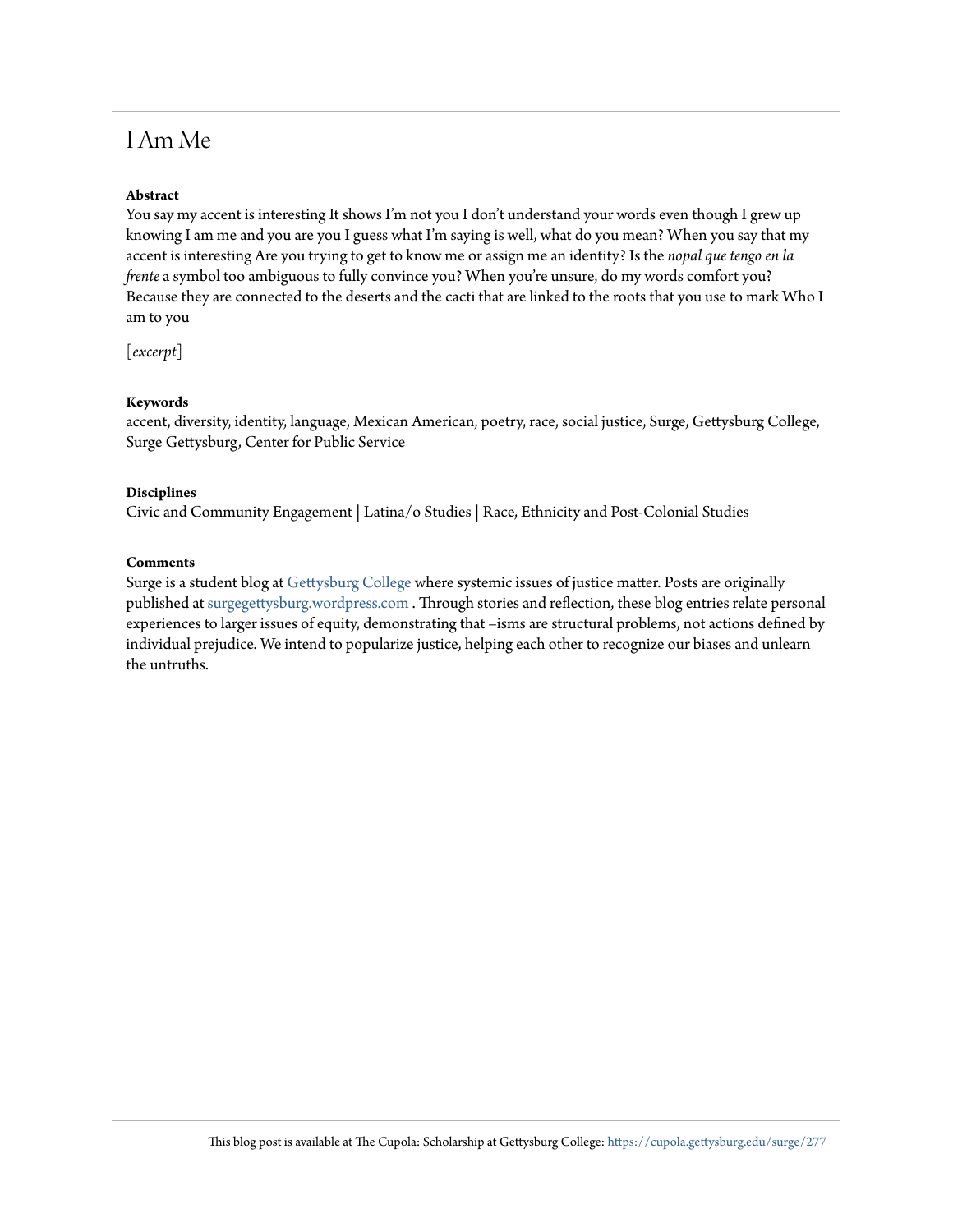## I Am Me

### **Abstract**

You say my accent is interesting It shows I'm not you I don't understand your words even though I grew up knowing I am me and you are you I guess what I'm saying is well, what do you mean? When you say that my accent is interesting Are you trying to get to know me or assign me an identity? Is the *nopal que tengo en la frente* a symbol too ambiguous to fully convince you? When you're unsure, do my words comfort you? Because they are connected to the deserts and the cacti that are linked to the roots that you use to mark Who I am to you

[*excerpt*]

#### **Keywords**

accent, diversity, identity, language, Mexican American, poetry, race, social justice, Surge, Gettysburg College, Surge Gettysburg, Center for Public Service

#### **Disciplines**

Civic and Community Engagement | Latina/o Studies | Race, Ethnicity and Post-Colonial Studies

#### **Comments**

Surge is a student blog at [Gettysburg College](http://www.gettysburg.edu/) where systemic issues of justice matter. Posts are originally published at [surgegettysburg.wordpress.com](https://surgegettysburg.wordpress.com/) . Through stories and reflection, these blog entries relate personal experiences to larger issues of equity, demonstrating that –isms are structural problems, not actions defined by individual prejudice. We intend to popularize justice, helping each other to recognize our biases and unlearn the untruths.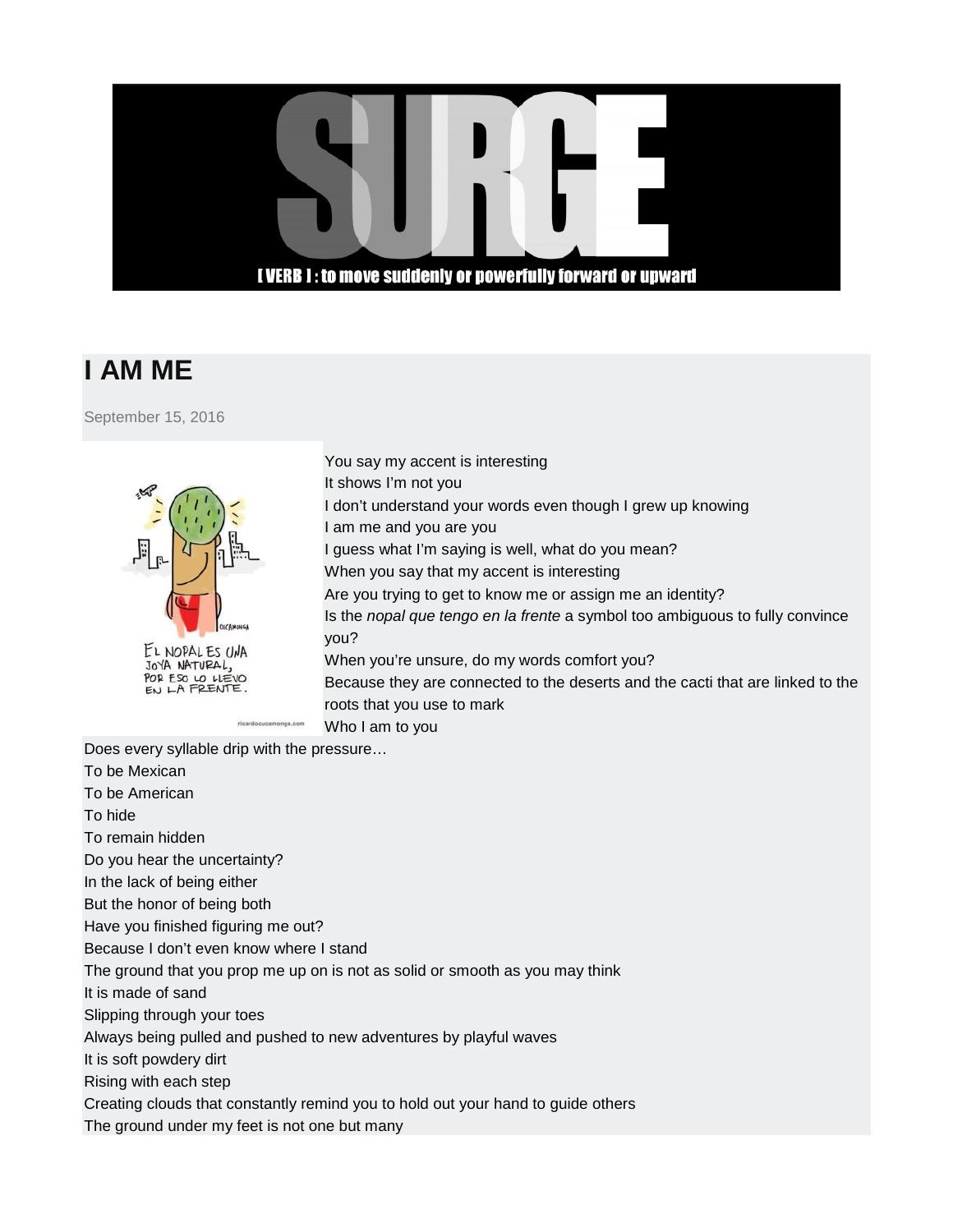### **I VERB 1: to move suddenly or powerfully forward or upward**

# **I AM ME**

[September 15, 2016](https://surgegettysburg.wordpress.com/2016/09/15/i-am-me/)



JOYA NATURAL, POR ESO LO LIEVO You say my accent is interesting It shows I'm not you I don't understand your words even though I grew up knowing I am me and you are you I guess what I'm saying is well, what do you mean? When you say that my accent is interesting Are you trying to get to know me or assign me an identity? Is the *nopal que tengo en la frente* a symbol too ambiguous to fully convince you? When you're unsure, do my words comfort you? Because they are connected to the deserts and the cacti that are linked to the roots that you use to mark Who I am to you

Does every syllable drip with the pressure…

To be Mexican To be American To hide To remain hidden Do you hear the uncertainty? In the lack of being either But the honor of being both Have you finished figuring me out? Because I don't even know where I stand The ground that you prop me up on is not as solid or smooth as you may think It is made of sand Slipping through your toes Always being pulled and pushed to new adventures by playful waves It is soft powdery dirt Rising with each step Creating clouds that constantly remind you to hold out your hand to guide others The ground under my feet is not one but many